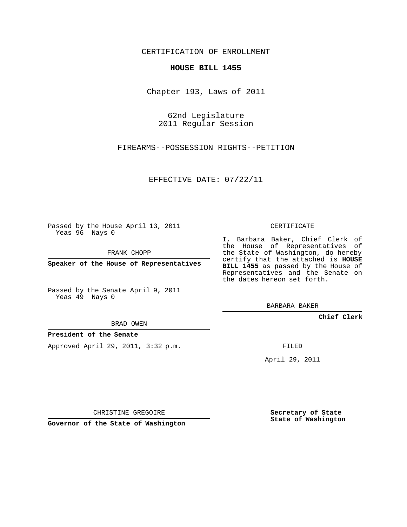CERTIFICATION OF ENROLLMENT

## **HOUSE BILL 1455**

Chapter 193, Laws of 2011

62nd Legislature 2011 Regular Session

FIREARMS--POSSESSION RIGHTS--PETITION

EFFECTIVE DATE: 07/22/11

Passed by the House April 13, 2011 Yeas 96 Nays 0

FRANK CHOPP

**Speaker of the House of Representatives**

Passed by the Senate April 9, 2011 Yeas 49 Nays 0

BRAD OWEN

**President of the Senate**

Approved April 29, 2011, 3:32 p.m.

CERTIFICATE

I, Barbara Baker, Chief Clerk of the House of Representatives of the State of Washington, do hereby certify that the attached is **HOUSE BILL 1455** as passed by the House of Representatives and the Senate on the dates hereon set forth.

BARBARA BAKER

**Chief Clerk**

FILED

April 29, 2011

CHRISTINE GREGOIRE

**Governor of the State of Washington**

**Secretary of State State of Washington**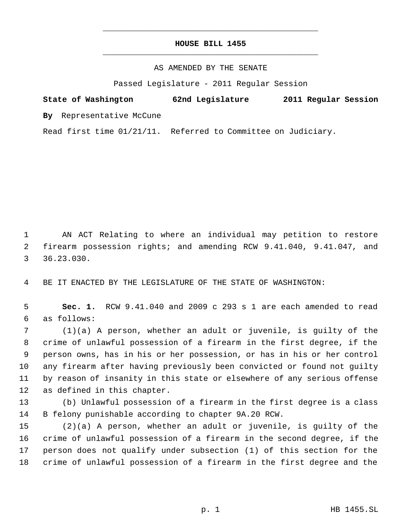## **HOUSE BILL 1455** \_\_\_\_\_\_\_\_\_\_\_\_\_\_\_\_\_\_\_\_\_\_\_\_\_\_\_\_\_\_\_\_\_\_\_\_\_\_\_\_\_\_\_\_\_

\_\_\_\_\_\_\_\_\_\_\_\_\_\_\_\_\_\_\_\_\_\_\_\_\_\_\_\_\_\_\_\_\_\_\_\_\_\_\_\_\_\_\_\_\_

## AS AMENDED BY THE SENATE

Passed Legislature - 2011 Regular Session

## **State of Washington 62nd Legislature 2011 Regular Session**

**By** Representative McCune

Read first time 01/21/11. Referred to Committee on Judiciary.

 AN ACT Relating to where an individual may petition to restore firearm possession rights; and amending RCW 9.41.040, 9.41.047, and 36.23.030.

BE IT ENACTED BY THE LEGISLATURE OF THE STATE OF WASHINGTON:

 **Sec. 1.** RCW 9.41.040 and 2009 c 293 s 1 are each amended to read as follows:

 (1)(a) A person, whether an adult or juvenile, is guilty of the crime of unlawful possession of a firearm in the first degree, if the person owns, has in his or her possession, or has in his or her control any firearm after having previously been convicted or found not guilty by reason of insanity in this state or elsewhere of any serious offense as defined in this chapter.

 (b) Unlawful possession of a firearm in the first degree is a class B felony punishable according to chapter 9A.20 RCW.

 (2)(a) A person, whether an adult or juvenile, is guilty of the crime of unlawful possession of a firearm in the second degree, if the person does not qualify under subsection (1) of this section for the crime of unlawful possession of a firearm in the first degree and the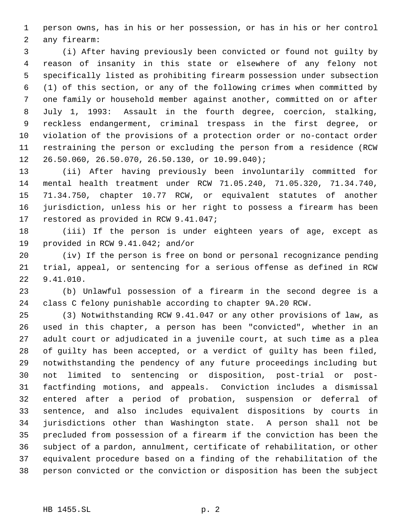person owns, has in his or her possession, or has in his or her control any firearm:

 (i) After having previously been convicted or found not guilty by reason of insanity in this state or elsewhere of any felony not specifically listed as prohibiting firearm possession under subsection (1) of this section, or any of the following crimes when committed by one family or household member against another, committed on or after July 1, 1993: Assault in the fourth degree, coercion, stalking, reckless endangerment, criminal trespass in the first degree, or violation of the provisions of a protection order or no-contact order restraining the person or excluding the person from a residence (RCW 26.50.060, 26.50.070, 26.50.130, or 10.99.040);

 (ii) After having previously been involuntarily committed for mental health treatment under RCW 71.05.240, 71.05.320, 71.34.740, 71.34.750, chapter 10.77 RCW, or equivalent statutes of another jurisdiction, unless his or her right to possess a firearm has been restored as provided in RCW 9.41.047;

 (iii) If the person is under eighteen years of age, except as provided in RCW 9.41.042; and/or

 (iv) If the person is free on bond or personal recognizance pending trial, appeal, or sentencing for a serious offense as defined in RCW 9.41.010.

 (b) Unlawful possession of a firearm in the second degree is a class C felony punishable according to chapter 9A.20 RCW.

 (3) Notwithstanding RCW 9.41.047 or any other provisions of law, as used in this chapter, a person has been "convicted", whether in an adult court or adjudicated in a juvenile court, at such time as a plea of guilty has been accepted, or a verdict of guilty has been filed, notwithstanding the pendency of any future proceedings including but not limited to sentencing or disposition, post-trial or post- factfinding motions, and appeals. Conviction includes a dismissal entered after a period of probation, suspension or deferral of sentence, and also includes equivalent dispositions by courts in jurisdictions other than Washington state. A person shall not be precluded from possession of a firearm if the conviction has been the subject of a pardon, annulment, certificate of rehabilitation, or other equivalent procedure based on a finding of the rehabilitation of the person convicted or the conviction or disposition has been the subject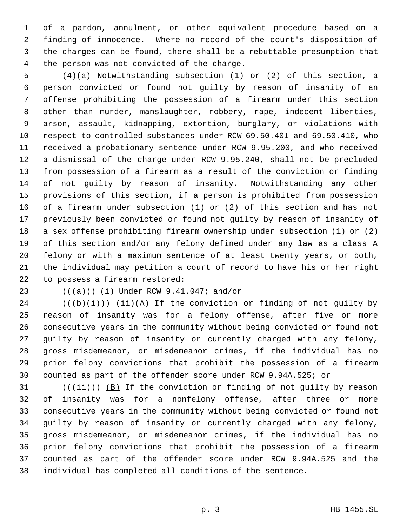of a pardon, annulment, or other equivalent procedure based on a finding of innocence. Where no record of the court's disposition of the charges can be found, there shall be a rebuttable presumption that the person was not convicted of the charge.

 (4)(a) Notwithstanding subsection (1) or (2) of this section, a person convicted or found not guilty by reason of insanity of an offense prohibiting the possession of a firearm under this section other than murder, manslaughter, robbery, rape, indecent liberties, arson, assault, kidnapping, extortion, burglary, or violations with respect to controlled substances under RCW 69.50.401 and 69.50.410, who received a probationary sentence under RCW 9.95.200, and who received a dismissal of the charge under RCW 9.95.240, shall not be precluded from possession of a firearm as a result of the conviction or finding of not guilty by reason of insanity. Notwithstanding any other provisions of this section, if a person is prohibited from possession of a firearm under subsection (1) or (2) of this section and has not previously been convicted or found not guilty by reason of insanity of a sex offense prohibiting firearm ownership under subsection (1) or (2) of this section and/or any felony defined under any law as a class A felony or with a maximum sentence of at least twenty years, or both, the individual may petition a court of record to have his or her right to possess a firearm restored:

23  $((+a))$  (i) Under RCW 9.41.047; and/or

24 ( $(\overrightarrow{b}(\overrightarrow{i}))$   $(i)$   $(A)$  If the conviction or finding of not guilty by reason of insanity was for a felony offense, after five or more consecutive years in the community without being convicted or found not guilty by reason of insanity or currently charged with any felony, gross misdemeanor, or misdemeanor crimes, if the individual has no prior felony convictions that prohibit the possession of a firearm counted as part of the offender score under RCW 9.94A.525; or

 (( $(i+i)$ )) (B) If the conviction or finding of not guilty by reason of insanity was for a nonfelony offense, after three or more consecutive years in the community without being convicted or found not guilty by reason of insanity or currently charged with any felony, gross misdemeanor, or misdemeanor crimes, if the individual has no prior felony convictions that prohibit the possession of a firearm counted as part of the offender score under RCW 9.94A.525 and the individual has completed all conditions of the sentence.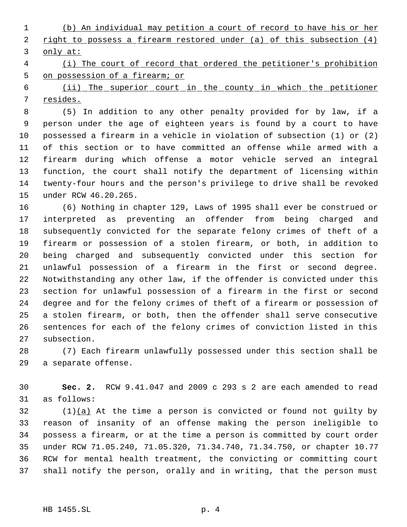(b) An individual may petition a court of record to have his or her 2 right to possess a firearm restored under (a) of this subsection (4) only at:

 (i) The court of record that ordered the petitioner's prohibition on possession of a firearm; or

 (ii) The superior court in the county in which the petitioner resides.

 (5) In addition to any other penalty provided for by law, if a person under the age of eighteen years is found by a court to have possessed a firearm in a vehicle in violation of subsection (1) or (2) of this section or to have committed an offense while armed with a firearm during which offense a motor vehicle served an integral function, the court shall notify the department of licensing within twenty-four hours and the person's privilege to drive shall be revoked under RCW 46.20.265.

 (6) Nothing in chapter 129, Laws of 1995 shall ever be construed or interpreted as preventing an offender from being charged and subsequently convicted for the separate felony crimes of theft of a firearm or possession of a stolen firearm, or both, in addition to being charged and subsequently convicted under this section for unlawful possession of a firearm in the first or second degree. Notwithstanding any other law, if the offender is convicted under this section for unlawful possession of a firearm in the first or second degree and for the felony crimes of theft of a firearm or possession of a stolen firearm, or both, then the offender shall serve consecutive sentences for each of the felony crimes of conviction listed in this subsection.

 (7) Each firearm unlawfully possessed under this section shall be a separate offense.

 **Sec. 2.** RCW 9.41.047 and 2009 c 293 s 2 are each amended to read as follows:

 (1)(a) At the time a person is convicted or found not guilty by reason of insanity of an offense making the person ineligible to possess a firearm, or at the time a person is committed by court order under RCW 71.05.240, 71.05.320, 71.34.740, 71.34.750, or chapter 10.77 RCW for mental health treatment, the convicting or committing court shall notify the person, orally and in writing, that the person must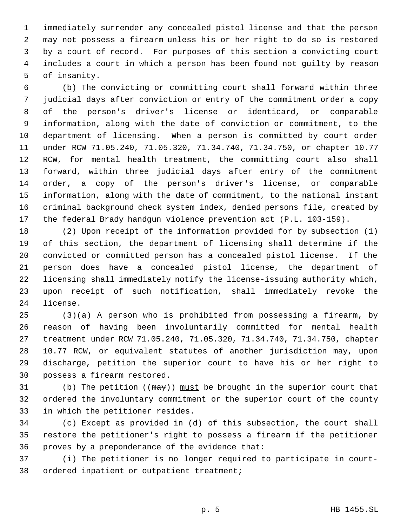immediately surrender any concealed pistol license and that the person may not possess a firearm unless his or her right to do so is restored by a court of record. For purposes of this section a convicting court includes a court in which a person has been found not guilty by reason of insanity.

 (b) The convicting or committing court shall forward within three judicial days after conviction or entry of the commitment order a copy of the person's driver's license or identicard, or comparable information, along with the date of conviction or commitment, to the department of licensing. When a person is committed by court order under RCW 71.05.240, 71.05.320, 71.34.740, 71.34.750, or chapter 10.77 RCW, for mental health treatment, the committing court also shall forward, within three judicial days after entry of the commitment order, a copy of the person's driver's license, or comparable information, along with the date of commitment, to the national instant criminal background check system index, denied persons file, created by the federal Brady handgun violence prevention act (P.L. 103-159).

 (2) Upon receipt of the information provided for by subsection (1) of this section, the department of licensing shall determine if the convicted or committed person has a concealed pistol license. If the person does have a concealed pistol license, the department of licensing shall immediately notify the license-issuing authority which, upon receipt of such notification, shall immediately revoke the license.

 (3)(a) A person who is prohibited from possessing a firearm, by reason of having been involuntarily committed for mental health treatment under RCW 71.05.240, 71.05.320, 71.34.740, 71.34.750, chapter 10.77 RCW, or equivalent statutes of another jurisdiction may, upon discharge, petition the superior court to have his or her right to possess a firearm restored.

31 (b) The petition ( $(\frac{may})$ ) must be brought in the superior court that ordered the involuntary commitment or the superior court of the county in which the petitioner resides.

 (c) Except as provided in (d) of this subsection, the court shall restore the petitioner's right to possess a firearm if the petitioner proves by a preponderance of the evidence that:

 (i) The petitioner is no longer required to participate in court-ordered inpatient or outpatient treatment;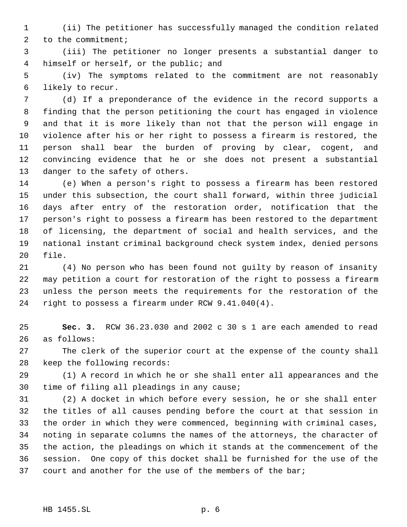(ii) The petitioner has successfully managed the condition related 2 to the commitment;

 (iii) The petitioner no longer presents a substantial danger to himself or herself, or the public; and

 (iv) The symptoms related to the commitment are not reasonably likely to recur.

 (d) If a preponderance of the evidence in the record supports a finding that the person petitioning the court has engaged in violence and that it is more likely than not that the person will engage in violence after his or her right to possess a firearm is restored, the person shall bear the burden of proving by clear, cogent, and convincing evidence that he or she does not present a substantial danger to the safety of others.

 (e) When a person's right to possess a firearm has been restored under this subsection, the court shall forward, within three judicial days after entry of the restoration order, notification that the person's right to possess a firearm has been restored to the department of licensing, the department of social and health services, and the national instant criminal background check system index, denied persons file.

 (4) No person who has been found not guilty by reason of insanity may petition a court for restoration of the right to possess a firearm unless the person meets the requirements for the restoration of the right to possess a firearm under RCW 9.41.040(4).

 **Sec. 3.** RCW 36.23.030 and 2002 c 30 s 1 are each amended to read as follows:

 The clerk of the superior court at the expense of the county shall keep the following records:

 (1) A record in which he or she shall enter all appearances and the time of filing all pleadings in any cause;

 (2) A docket in which before every session, he or she shall enter the titles of all causes pending before the court at that session in the order in which they were commenced, beginning with criminal cases, noting in separate columns the names of the attorneys, the character of the action, the pleadings on which it stands at the commencement of the session. One copy of this docket shall be furnished for the use of the court and another for the use of the members of the bar;